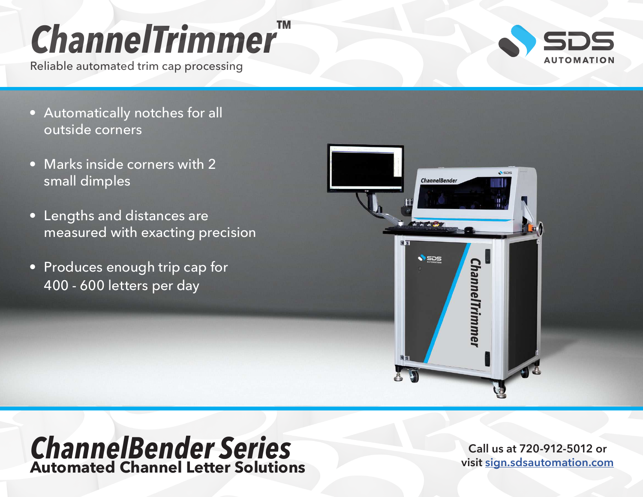## *ChannelTrimmer™*

Reliable automated trim cap processing

- Automatically notches for all outside corners
- Marks inside corners with 2 small dimples
- Lengths and distances are measured with exacting precision
- Produces enough trip cap for 400 - 600 letters per day



## *ChannelBender Series* **Automated Channel Letter Solutions**

**Call us at 720-912-5012 or visit [sign.sdsautomation.com](https://sign.sdsautomation.com/?utm_source=PDF+Spec+Sheets&utm_medium=PDF&utm_campaign=Literature)**